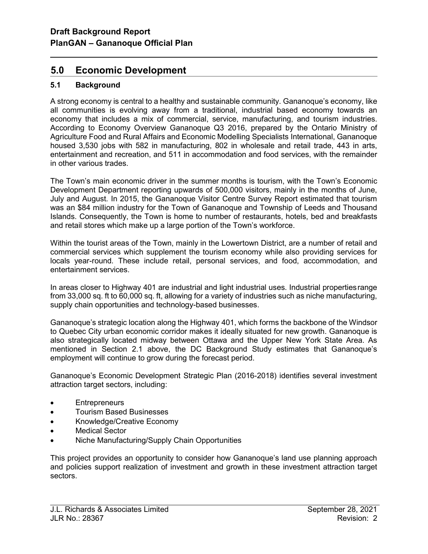# 5.0 Economic Development

# 5.1 Background

l

A strong economy is central to a healthy and sustainable community. Gananoque's economy, like all communities is evolving away from a traditional, industrial based economy towards an economy that includes a mix of commercial, service, manufacturing, and tourism industries. According to Economy Overview Gananoque Q3 2016, prepared by the Ontario Ministry of Agriculture Food and Rural Affairs and Economic Modelling Specialists International, Gananoque housed 3,530 jobs with 582 in manufacturing, 802 in wholesale and retail trade, 443 in arts, entertainment and recreation, and 511 in accommodation and food services, with the remainder in other various trades.

The Town's main economic driver in the summer months is tourism, with the Town's Economic Development Department reporting upwards of 500,000 visitors, mainly in the months of June, July and August. In 2015, the Gananoque Visitor Centre Survey Report estimated that tourism was an \$84 million industry for the Town of Gananoque and Township of Leeds and Thousand Islands. Consequently, the Town is home to number of restaurants, hotels, bed and breakfasts and retail stores which make up a large portion of the Town's workforce.

Within the tourist areas of the Town, mainly in the Lowertown District, are a number of retail and commercial services which supplement the tourism economy while also providing services for locals year-round. These include retail, personal services, and food, accommodation, and entertainment services.

In areas closer to Highway 401 are industrial and light industrial uses. Industrial properties range from 33,000 sq. ft to 60,000 sq. ft, allowing for a variety of industries such as niche manufacturing, supply chain opportunities and technology-based businesses.

Gananoque's strategic location along the Highway 401, which forms the backbone of the Windsor to Quebec City urban economic corridor makes it ideally situated for new growth. Gananoque is also strategically located midway between Ottawa and the Upper New York State Area. As mentioned in Section 2.1 above, the DC Background Study estimates that Gananoque's employment will continue to grow during the forecast period.

Gananoque's Economic Development Strategic Plan (2016-2018) identifies several investment attraction target sectors, including:

- **Entrepreneurs**
- Tourism Based Businesses
- Knowledge/Creative Economy
- Medical Sector
- Niche Manufacturing/Supply Chain Opportunities

This project provides an opportunity to consider how Gananoque's land use planning approach and policies support realization of investment and growth in these investment attraction target sectors.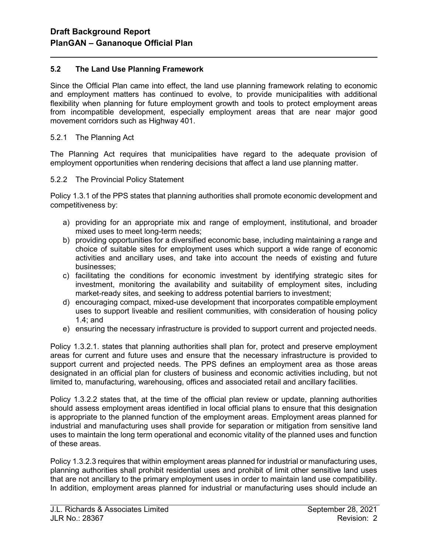## 5.2 The Land Use Planning Framework

Since the Official Plan came into effect, the land use planning framework relating to economic and employment matters has continued to evolve, to provide municipalities with additional flexibility when planning for future employment growth and tools to protect employment areas from incompatible development, especially employment areas that are near major good movement corridors such as Highway 401.

#### 5.2.1 The Planning Act

l

The Planning Act requires that municipalities have regard to the adequate provision of employment opportunities when rendering decisions that affect a land use planning matter.

#### 5.2.2 The Provincial Policy Statement

Policy 1.3.1 of the PPS states that planning authorities shall promote economic development and competitiveness by:

- a) providing for an appropriate mix and range of employment, institutional, and broader mixed uses to meet long-term needs;
- b) providing opportunities for a diversified economic base, including maintaining a range and choice of suitable sites for employment uses which support a wide range of economic activities and ancillary uses, and take into account the needs of existing and future businesses;
- c) facilitating the conditions for economic investment by identifying strategic sites for investment, monitoring the availability and suitability of employment sites, including market-ready sites, and seeking to address potential barriers to investment;
- d) encouraging compact, mixed-use development that incorporates compatible employment uses to support liveable and resilient communities, with consideration of housing policy 1.4; and
- e) ensuring the necessary infrastructure is provided to support current and projected needs.

Policy 1.3.2.1. states that planning authorities shall plan for, protect and preserve employment areas for current and future uses and ensure that the necessary infrastructure is provided to support current and projected needs. The PPS defines an employment area as those areas designated in an official plan for clusters of business and economic activities including, but not limited to, manufacturing, warehousing, offices and associated retail and ancillary facilities.

Policy 1.3.2.2 states that, at the time of the official plan review or update, planning authorities should assess employment areas identified in local official plans to ensure that this designation is appropriate to the planned function of the employment areas. Employment areas planned for industrial and manufacturing uses shall provide for separation or mitigation from sensitive land uses to maintain the long term operational and economic vitality of the planned uses and function of these areas.

Policy 1.3.2.3 requires that within employment areas planned for industrial or manufacturing uses, planning authorities shall prohibit residential uses and prohibit of limit other sensitive land uses that are not ancillary to the primary employment uses in order to maintain land use compatibility. In addition, employment areas planned for industrial or manufacturing uses should include an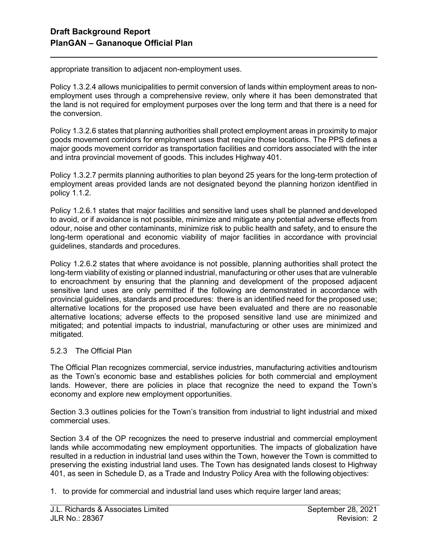l

appropriate transition to adjacent non-employment uses.

Policy 1.3.2.4 allows municipalities to permit conversion of lands within employment areas to nonemployment uses through a comprehensive review, only where it has been demonstrated that the land is not required for employment purposes over the long term and that there is a need for the conversion.

Policy 1.3.2.6 states that planning authorities shall protect employment areas in proximity to major goods movement corridors for employment uses that require those locations. The PPS defines a major goods movement corridor as transportation facilities and corridors associated with the inter and intra provincial movement of goods. This includes Highway 401.

Policy 1.3.2.7 permits planning authorities to plan beyond 25 years for the long-term protection of employment areas provided lands are not designated beyond the planning horizon identified in policy 1.1.2.

Policy 1.2.6.1 states that major facilities and sensitive land uses shall be planned and developed to avoid, or if avoidance is not possible, minimize and mitigate any potential adverse effects from odour, noise and other contaminants, minimize risk to public health and safety, and to ensure the long-term operational and economic viability of major facilities in accordance with provincial guidelines, standards and procedures.

Policy 1.2.6.2 states that where avoidance is not possible, planning authorities shall protect the long-term viability of existing or planned industrial, manufacturing or other uses that are vulnerable to encroachment by ensuring that the planning and development of the proposed adjacent sensitive land uses are only permitted if the following are demonstrated in accordance with provincial guidelines, standards and procedures: there is an identified need for the proposed use; alternative locations for the proposed use have been evaluated and there are no reasonable alternative locations; adverse effects to the proposed sensitive land use are minimized and mitigated; and potential impacts to industrial, manufacturing or other uses are minimized and mitigated.

#### 5.2.3 The Official Plan

The Official Plan recognizes commercial, service industries, manufacturing activities and tourism as the Town's economic base and establishes policies for both commercial and employment lands. However, there are policies in place that recognize the need to expand the Town's economy and explore new employment opportunities.

Section 3.3 outlines policies for the Town's transition from industrial to light industrial and mixed commercial uses.

Section 3.4 of the OP recognizes the need to preserve industrial and commercial employment lands while accommodating new employment opportunities. The impacts of globalization have resulted in a reduction in industrial land uses within the Town, however the Town is committed to preserving the existing industrial land uses. The Town has designated lands closest to Highway 401, as seen in Schedule D, as a Trade and Industry Policy Area with the following objectives:

1. to provide for commercial and industrial land uses which require larger land areas;